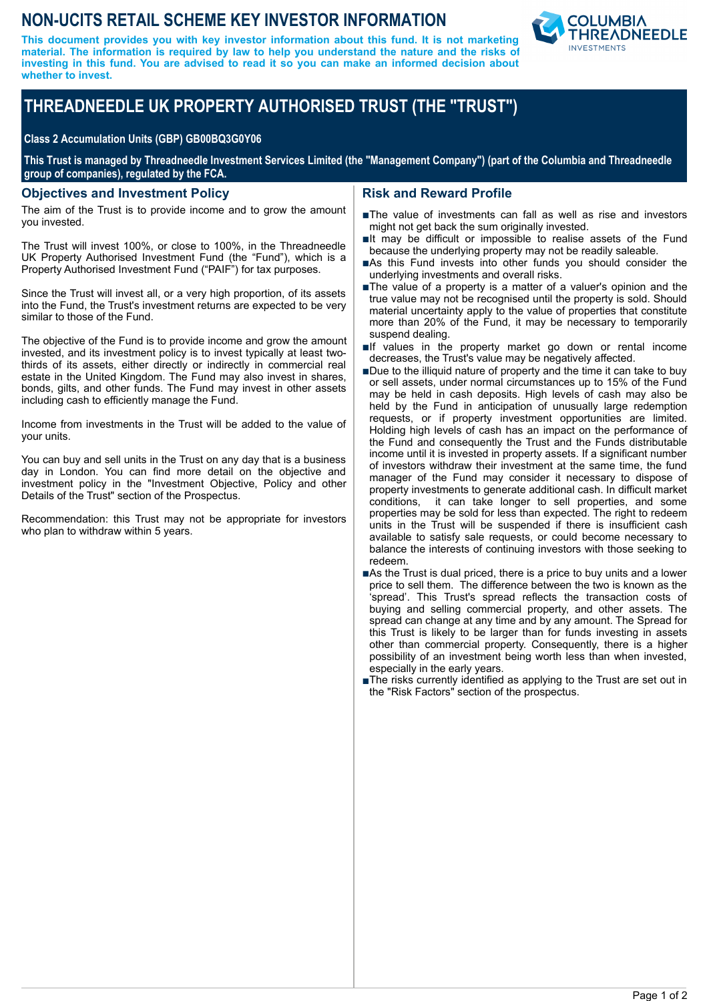# **NON-UCITS RETAIL SCHEME KEY INVESTOR INFORMATION**

**This document provides you with key investor information about this fund. It is not marketing material. The information is required by law to help you understand the nature and the risks of investing in this fund. You are advised to read it so you can make an informed decision about whether to invest.**



# **THREADNEEDLE UK PROPERTY AUTHORISED TRUST (THE "TRUST")**

#### **Class 2 Accumulation Units (GBP) GB00BQ3G0Y06**

**This Trust is managed by Threadneedle Investment Services Limited (the "Management Company") (part of the Columbia and Threadneedle group of companies), regulated by the FCA.**

#### **Objectives and Investment Policy**

The aim of the Trust is to provide income and to grow the amount you invested.

The Trust will invest 100%, or close to 100%, in the Threadneedle UK Property Authorised Investment Fund (the "Fund"), which is a Property Authorised Investment Fund ("PAIF") for tax purposes.

Since the Trust will invest all, or a very high proportion, of its assets into the Fund, the Trust's investment returns are expected to be very similar to those of the Fund.

The objective of the Fund is to provide income and grow the amount invested, and its investment policy is to invest typically at least twothirds of its assets, either directly or indirectly in commercial real estate in the United Kingdom. The Fund may also invest in shares, bonds, gilts, and other funds. The Fund may invest in other assets including cash to efficiently manage the Fund.

Income from investments in the Trust will be added to the value of your units.

You can buy and sell units in the Trust on any day that is a business day in London. You can find more detail on the objective and investment policy in the "Investment Objective, Policy and other Details of the Trust" section of the Prospectus.

Recommendation: this Trust may not be appropriate for investors who plan to withdraw within 5 years.

### **Risk and Reward Profile**

- nThe value of investments can fall as well as rise and investors might not get back the sum originally invested.
- $\blacksquare$ It may be difficult or impossible to realise assets of the Fund because the underlying property may not be readily saleable.
- nAs this Fund invests into other funds you should consider the underlying investments and overall risks.
- The value of a property is a matter of a valuer's opinion and the true value may not be recognised until the property is sold. Should material uncertainty apply to the value of properties that constitute more than 20% of the Fund, it may be necessary to temporarily suspend dealing.
- $\blacksquare$ If values in the property market go down or rental income decreases, the Trust's value may be negatively affected.
- Due to the illiquid nature of property and the time it can take to buy or sell assets, under normal circumstances up to 15% of the Fund may be held in cash deposits. High levels of cash may also be held by the Fund in anticipation of unusually large redemption requests, or if property investment opportunities are limited. Holding high levels of cash has an impact on the performance of the Fund and consequently the Trust and the Funds distributable income until it is invested in property assets. If a significant number of investors withdraw their investment at the same time, the fund manager of the Fund may consider it necessary to dispose of property investments to generate additional cash. In difficult market conditions, it can take longer to sell properties, and some properties may be sold for less than expected. The right to redeem units in the Trust will be suspended if there is insufficient cash available to satisfy sale requests, or could become necessary to balance the interests of continuing investors with those seeking to redeem.
- ■As the Trust is dual priced, there is a price to buy units and a lower price to sell them. The difference between the two is known as the 'spread'. This Trust's spread reflects the transaction costs of buying and selling commercial property, and other assets. The spread can change at any time and by any amount. The Spread for this Trust is likely to be larger than for funds investing in assets other than commercial property. Consequently, there is a higher possibility of an investment being worth less than when invested, especially in the early years.
- ■The risks currently identified as applying to the Trust are set out in the "Risk Factors" section of the prospectus.